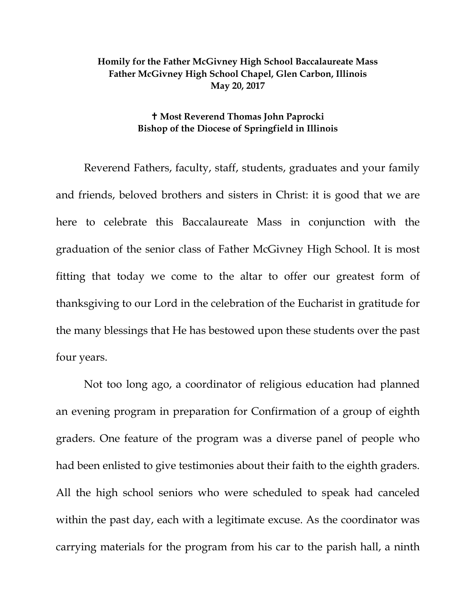## **Homily for the Father McGivney High School Baccalaureate Mass Father McGivney High School Chapel, Glen Carbon, Illinois May 20, 2017**

## **Most Reverend Thomas John Paprocki Bishop of the Diocese of Springfield in Illinois**

Reverend Fathers, faculty, staff, students, graduates and your family and friends, beloved brothers and sisters in Christ: it is good that we are here to celebrate this Baccalaureate Mass in conjunction with the graduation of the senior class of Father McGivney High School. It is most fitting that today we come to the altar to offer our greatest form of thanksgiving to our Lord in the celebration of the Eucharist in gratitude for the many blessings that He has bestowed upon these students over the past four years.

Not too long ago, a coordinator of religious education had planned an evening program in preparation for Confirmation of a group of eighth graders. One feature of the program was a diverse panel of people who had been enlisted to give testimonies about their faith to the eighth graders. All the high school seniors who were scheduled to speak had canceled within the past day, each with a legitimate excuse. As the coordinator was carrying materials for the program from his car to the parish hall, a ninth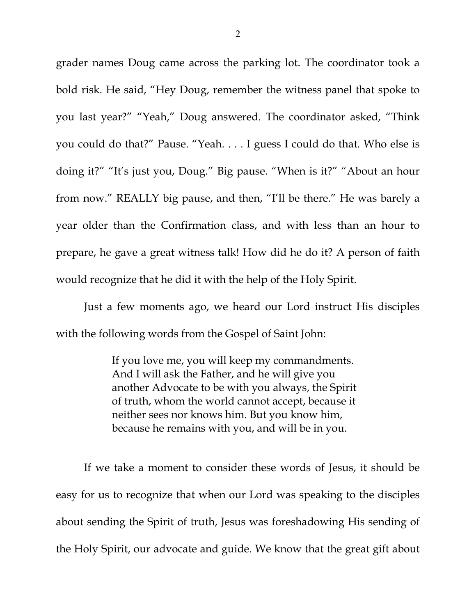grader names Doug came across the parking lot. The coordinator took a bold risk. He said, "Hey Doug, remember the witness panel that spoke to you last year?" "Yeah," Doug answered. The coordinator asked, "Think you could do that?" Pause. "Yeah. . . . I guess I could do that. Who else is doing it?" "It's just you, Doug." Big pause. "When is it?" "About an hour from now." REALLY big pause, and then, "I'll be there." He was barely a year older than the Confirmation class, and with less than an hour to prepare, he gave a great witness talk! How did he do it? A person of faith would recognize that he did it with the help of the Holy Spirit.

Just a few moments ago, we heard our Lord instruct His disciples with the following words from the Gospel of Saint John:

> If you love me, you will keep my commandments. And I will ask the Father, and he will give you another Advocate to be with you always, the Spirit of truth, whom the world cannot accept, because it neither sees nor knows him. But you know him, because he remains with you, and will be in you.

If we take a moment to consider these words of Jesus, it should be easy for us to recognize that when our Lord was speaking to the disciples about sending the Spirit of truth, Jesus was foreshadowing His sending of the Holy Spirit, our advocate and guide. We know that the great gift about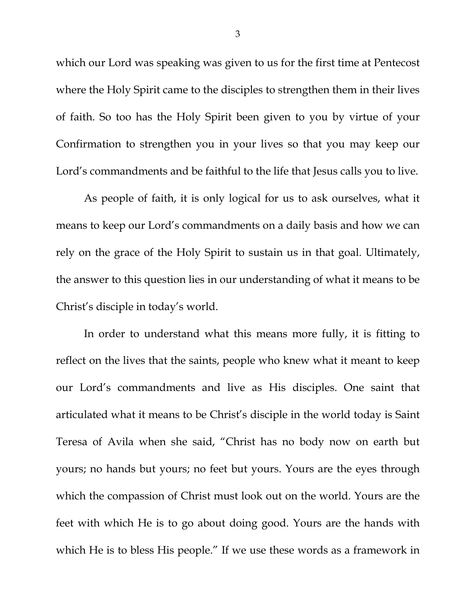which our Lord was speaking was given to us for the first time at Pentecost where the Holy Spirit came to the disciples to strengthen them in their lives of faith. So too has the Holy Spirit been given to you by virtue of your Confirmation to strengthen you in your lives so that you may keep our Lord's commandments and be faithful to the life that Jesus calls you to live.

As people of faith, it is only logical for us to ask ourselves, what it means to keep our Lord's commandments on a daily basis and how we can rely on the grace of the Holy Spirit to sustain us in that goal. Ultimately, the answer to this question lies in our understanding of what it means to be Christ's disciple in today's world.

In order to understand what this means more fully, it is fitting to reflect on the lives that the saints, people who knew what it meant to keep our Lord's commandments and live as His disciples. One saint that articulated what it means to be Christ's disciple in the world today is Saint Teresa of Avila when she said, "Christ has no body now on earth but yours; no hands but yours; no feet but yours. Yours are the eyes through which the compassion of Christ must look out on the world. Yours are the feet with which He is to go about doing good. Yours are the hands with which He is to bless His people." If we use these words as a framework in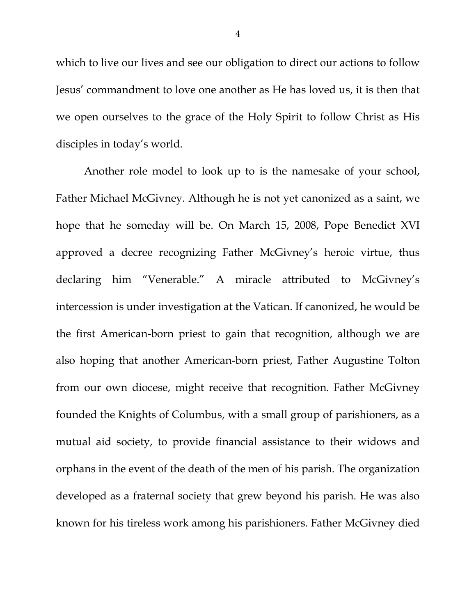which to live our lives and see our obligation to direct our actions to follow Jesus' commandment to love one another as He has loved us, it is then that we open ourselves to the grace of the Holy Spirit to follow Christ as His disciples in today's world.

Another role model to look up to is the namesake of your school, Father Michael McGivney. Although he is not yet canonized as a saint, we hope that he someday will be. On March 15, 2008, Pope Benedict XVI approved a decree recognizing Father McGivney's heroic virtue, thus declaring him "Venerable." A miracle attributed to McGivney's intercession is under investigation at the Vatican. If canonized, he would be the first American-born priest to gain that recognition, although we are also hoping that another American-born priest, Father Augustine Tolton from our own diocese, might receive that recognition. Father McGivney founded the Knights of Columbus, with a small group of parishioners, as a mutual aid society, to provide financial assistance to their widows and orphans in the event of the death of the men of his parish. The organization developed as a fraternal society that grew beyond his parish. He was also known for his tireless work among his parishioners. Father McGivney died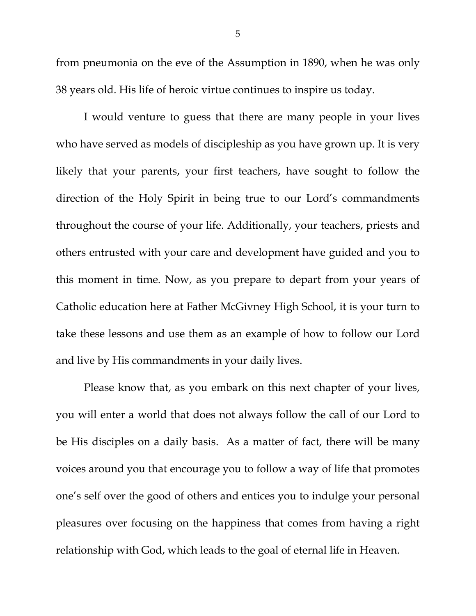from pneumonia on the eve of the Assumption in 1890, when he was only 38 years old. His life of heroic virtue continues to inspire us today.

I would venture to guess that there are many people in your lives who have served as models of discipleship as you have grown up. It is very likely that your parents, your first teachers, have sought to follow the direction of the Holy Spirit in being true to our Lord's commandments throughout the course of your life. Additionally, your teachers, priests and others entrusted with your care and development have guided and you to this moment in time. Now, as you prepare to depart from your years of Catholic education here at Father McGivney High School, it is your turn to take these lessons and use them as an example of how to follow our Lord and live by His commandments in your daily lives.

Please know that, as you embark on this next chapter of your lives, you will enter a world that does not always follow the call of our Lord to be His disciples on a daily basis. As a matter of fact, there will be many voices around you that encourage you to follow a way of life that promotes one's self over the good of others and entices you to indulge your personal pleasures over focusing on the happiness that comes from having a right relationship with God, which leads to the goal of eternal life in Heaven.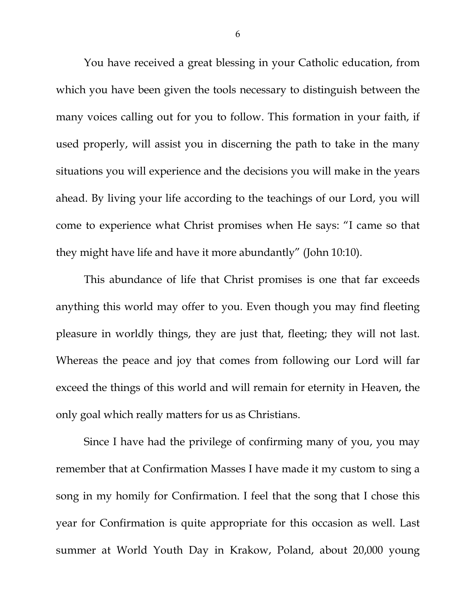You have received a great blessing in your Catholic education, from which you have been given the tools necessary to distinguish between the many voices calling out for you to follow. This formation in your faith, if used properly, will assist you in discerning the path to take in the many situations you will experience and the decisions you will make in the years ahead. By living your life according to the teachings of our Lord, you will come to experience what Christ promises when He says: "I came so that they might have life and have it more abundantly" (John 10:10).

This abundance of life that Christ promises is one that far exceeds anything this world may offer to you. Even though you may find fleeting pleasure in worldly things, they are just that, fleeting; they will not last. Whereas the peace and joy that comes from following our Lord will far exceed the things of this world and will remain for eternity in Heaven, the only goal which really matters for us as Christians.

Since I have had the privilege of confirming many of you, you may remember that at Confirmation Masses I have made it my custom to sing a song in my homily for Confirmation. I feel that the song that I chose this year for Confirmation is quite appropriate for this occasion as well. Last summer at World Youth Day in Krakow, Poland, about 20,000 young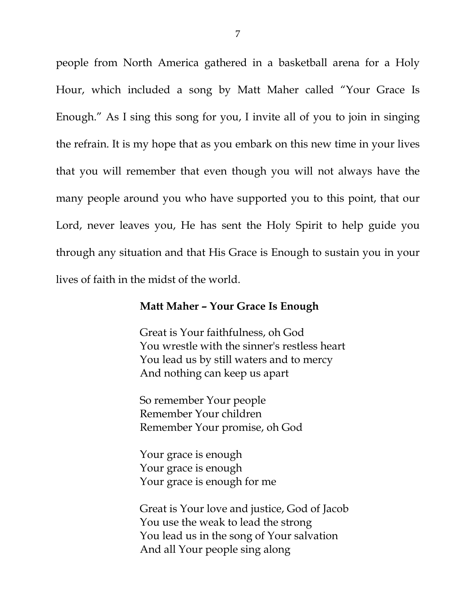people from North America gathered in a basketball arena for a Holy Hour, which included a song by Matt Maher called "Your Grace Is Enough." As I sing this song for you, I invite all of you to join in singing the refrain. It is my hope that as you embark on this new time in your lives that you will remember that even though you will not always have the many people around you who have supported you to this point, that our Lord, never leaves you, He has sent the Holy Spirit to help guide you through any situation and that His Grace is Enough to sustain you in your lives of faith in the midst of the world.

## **Matt Maher – Your Grace Is Enough**

Great is Your faithfulness, oh God You wrestle with the sinner's restless heart You lead us by still waters and to mercy And nothing can keep us apart

So remember Your people Remember Your children Remember Your promise, oh God

Your grace is enough Your grace is enough Your grace is enough for me

Great is Your love and justice, God of Jacob You use the weak to lead the strong You lead us in the song of Your salvation And all Your people sing along